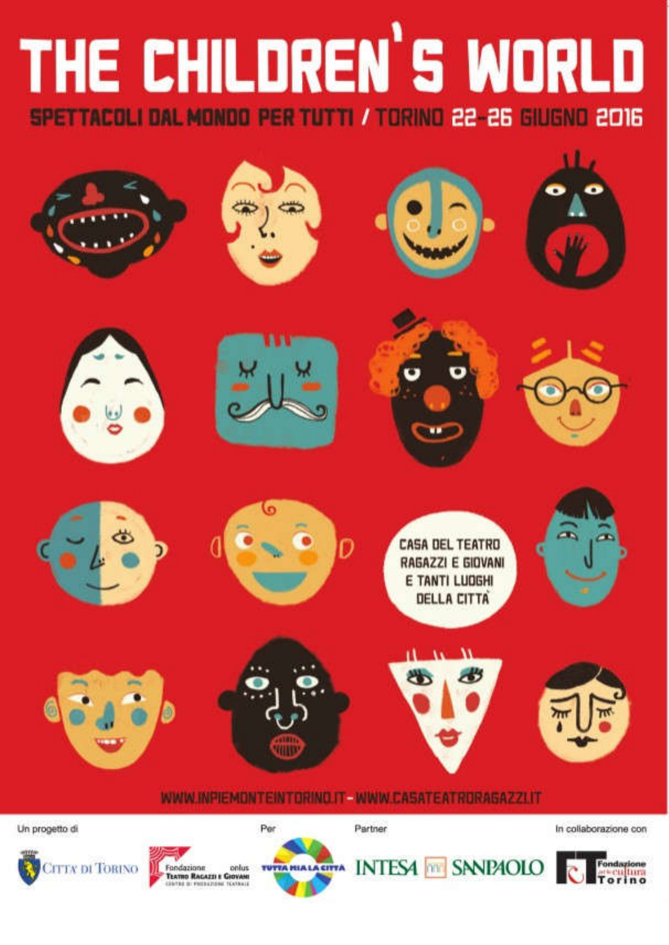# THE CHILDREN'S WORLD SPETTACOLI DAL MONDO PER TUTTI / TORINO 22-26 GIUGNO 2016



**CITTA DI TORINO** 





**INTESA MM SNNPAOLO** 

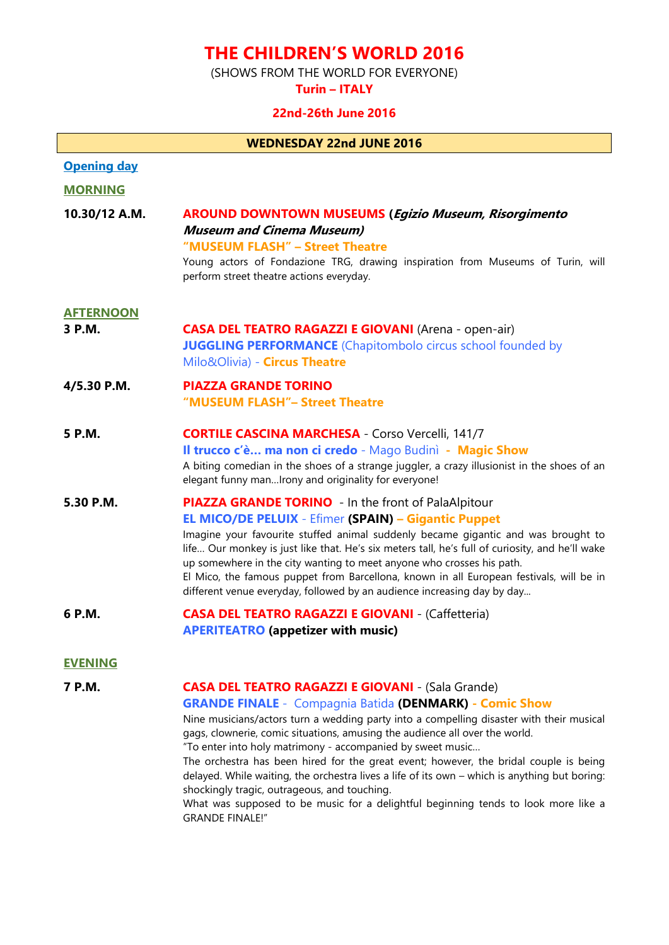## THE CHILDREN'S WORLD 2016

(SHOWS FROM THE WORLD FOR EVERYONE)

Turin – ITALY

## 22nd-26th June 2016

| <b>WEDNESDAY 22nd JUNE 2016</b> |                                                                                                                                                                                                                                                                                                                                                                                                                                                                                                                                                                  |  |
|---------------------------------|------------------------------------------------------------------------------------------------------------------------------------------------------------------------------------------------------------------------------------------------------------------------------------------------------------------------------------------------------------------------------------------------------------------------------------------------------------------------------------------------------------------------------------------------------------------|--|
| <b>Opening day</b>              |                                                                                                                                                                                                                                                                                                                                                                                                                                                                                                                                                                  |  |
| <b>MORNING</b>                  |                                                                                                                                                                                                                                                                                                                                                                                                                                                                                                                                                                  |  |
| 10.30/12 A.M.                   | <b>AROUND DOWNTOWN MUSEUMS (Egizio Museum, Risorgimento</b><br><b>Museum and Cinema Museum)</b><br>"MUSEUM FLASH" - Street Theatre<br>Young actors of Fondazione TRG, drawing inspiration from Museums of Turin, will<br>perform street theatre actions everyday.                                                                                                                                                                                                                                                                                                |  |
| <b>AFTERNOON</b>                |                                                                                                                                                                                                                                                                                                                                                                                                                                                                                                                                                                  |  |
| 3 P.M.                          | <b>CASA DEL TEATRO RAGAZZI E GIOVANI</b> (Arena - open-air)<br><b>JUGGLING PERFORMANCE</b> (Chapitombolo circus school founded by<br>Milo&Olivia) - Circus Theatre                                                                                                                                                                                                                                                                                                                                                                                               |  |
| 4/5.30 P.M.                     | <b>PIAZZA GRANDE TORINO</b><br>"MUSEUM FLASH"- Street Theatre                                                                                                                                                                                                                                                                                                                                                                                                                                                                                                    |  |
| 5 P.M.                          | <b>CORTILE CASCINA MARCHESA - Corso Vercelli, 141/7</b><br>Il trucco c'è ma non ci credo - Mago Budinì - Magic Show<br>A biting comedian in the shoes of a strange juggler, a crazy illusionist in the shoes of an<br>elegant funny manIrony and originality for everyone!                                                                                                                                                                                                                                                                                       |  |
| 5.30 P.M.                       | <b>PIAZZA GRANDE TORINO</b> - In the front of PalaAlpitour<br><b>EL MICO/DE PELUIX - Efimer (SPAIN) – Gigantic Puppet</b><br>Imagine your favourite stuffed animal suddenly became gigantic and was brought to<br>life Our monkey is just like that. He's six meters tall, he's full of curiosity, and he'll wake<br>up somewhere in the city wanting to meet anyone who crosses his path.<br>El Mico, the famous puppet from Barcellona, known in all European festivals, will be in<br>different venue everyday, followed by an audience increasing day by day |  |
| 6 P.M.                          | <b>CASA DEL TEATRO RAGAZZI E GIOVANI - (Caffetteria)</b><br><b>APERITEATRO</b> (appetizer with music)                                                                                                                                                                                                                                                                                                                                                                                                                                                            |  |
| <b>EVENING</b>                  |                                                                                                                                                                                                                                                                                                                                                                                                                                                                                                                                                                  |  |

## 7 P.M. CASA DEL TEATRO RAGAZZI E GIOVANI - (Sala Grande)

## GRANDE FINALE - Compagnia Batida (DENMARK) - Comic Show

Nine musicians/actors turn a wedding party into a compelling disaster with their musical gags, clownerie, comic situations, amusing the audience all over the world. "To enter into holy matrimony - accompanied by sweet music…

The orchestra has been hired for the great event; however, the bridal couple is being delayed. While waiting, the orchestra lives a life of its own – which is anything but boring: shockingly tragic, outrageous, and touching.

What was supposed to be music for a delightful beginning tends to look more like a GRANDE FINALE!"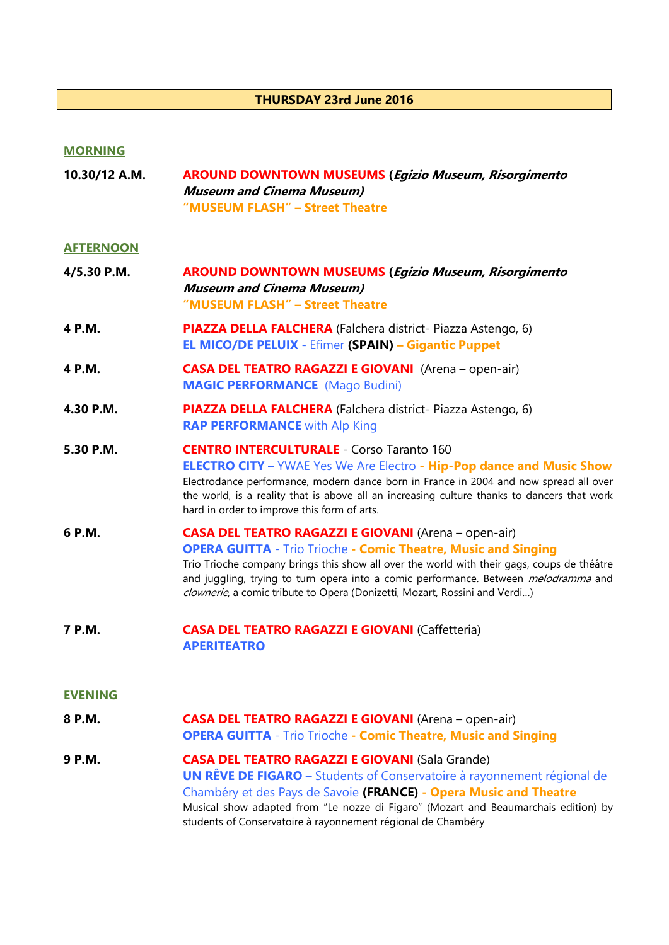## THURSDAY 23rd June 2016

## MORNING

| 10.30/12 A.M.    | <b>AROUND DOWNTOWN MUSEUMS (Egizio Museum, Risorgimento</b><br><b>Museum and Cinema Museum)</b><br>"MUSEUM FLASH" - Street Theatre                                                                                                                                                                                                                                                                             |
|------------------|----------------------------------------------------------------------------------------------------------------------------------------------------------------------------------------------------------------------------------------------------------------------------------------------------------------------------------------------------------------------------------------------------------------|
| <b>AFTERNOON</b> |                                                                                                                                                                                                                                                                                                                                                                                                                |
| 4/5.30 P.M.      | <b>AROUND DOWNTOWN MUSEUMS (Egizio Museum, Risorgimento</b><br><b>Museum and Cinema Museum)</b><br>"MUSEUM FLASH" - Street Theatre                                                                                                                                                                                                                                                                             |
| 4 P.M.           | PIAZZA DELLA FALCHERA (Falchera district- Piazza Astengo, 6)<br><b>EL MICO/DE PELUIX - Efimer (SPAIN) – Gigantic Puppet</b>                                                                                                                                                                                                                                                                                    |
| 4 P.M.           | <b>CASA DEL TEATRO RAGAZZI E GIOVANI</b> (Arena - open-air)<br><b>MAGIC PERFORMANCE</b> (Mago Budini)                                                                                                                                                                                                                                                                                                          |
| 4.30 P.M.        | PIAZZA DELLA FALCHERA (Falchera district- Piazza Astengo, 6)<br><b>RAP PERFORMANCE</b> with Alp King                                                                                                                                                                                                                                                                                                           |
| 5.30 P.M.        | <b>CENTRO INTERCULTURALE - Corso Taranto 160</b><br><b>ELECTRO CITY</b> - YWAE Yes We Are Electro - Hip-Pop dance and Music Show<br>Electrodance performance, modern dance born in France in 2004 and now spread all over<br>the world, is a reality that is above all an increasing culture thanks to dancers that work<br>hard in order to improve this form of arts.                                        |
| 6 P.M.           | <b>CASA DEL TEATRO RAGAZZI E GIOVANI</b> (Arena - open-air)<br><b>OPERA GUITTA - Trio Trioche - Comic Theatre, Music and Singing</b><br>Trio Trioche company brings this show all over the world with their gags, coups de théâtre<br>and juggling, trying to turn opera into a comic performance. Between <i>melodramma</i> and<br>clownerie, a comic tribute to Opera (Donizetti, Mozart, Rossini and Verdi) |
| 7 P.M.           | <b>CASA DEL TEATRO RAGAZZI E GIOVANI (Caffetteria)</b><br><b>APERITEATRO</b>                                                                                                                                                                                                                                                                                                                                   |
| <b>EVENING</b>   |                                                                                                                                                                                                                                                                                                                                                                                                                |
|                  |                                                                                                                                                                                                                                                                                                                                                                                                                |

- 8 P.M. **CASA DEL TEATRO RAGAZZI E GIOVANI** (Arena open-air) OPERA GUITTA - Trio Trioche - Comic Theatre, Music and Singing
- 9 P.M. CASA DEL TEATRO RAGAZZI E GIOVANI (Sala Grande) UN RÊVE DE FIGARO – Students of Conservatoire à rayonnement régional de Chambéry et des Pays de Savoie (FRANCE) - Opera Music and Theatre Musical show adapted from "Le nozze di Figaro" (Mozart and Beaumarchais edition) by students of Conservatoire à rayonnement régional de Chambéry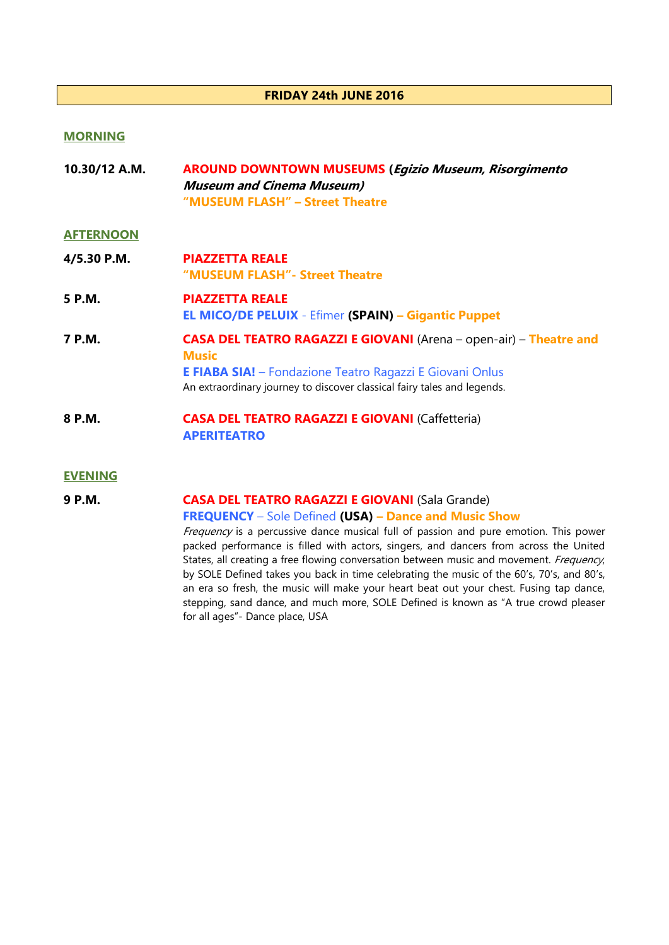## FRIDAY 24th JUNE 2016

## MORNING

| 10.30/12 A.M. | <b>AROUND DOWNTOWN MUSEUMS (Egizio Museum, Risorgimento</b> |
|---------------|-------------------------------------------------------------|
|               | <b>Museum and Cinema Museum)</b>                            |
|               | "MUSEUM FLASH" – Street Theatre                             |

## **AFTERNOON**

| 4/5.30 P.M. | <b>PIAZZETTA REALE</b><br>"MUSEUM FLASH" - Street Theatre                                                                                                                                                                               |
|-------------|-----------------------------------------------------------------------------------------------------------------------------------------------------------------------------------------------------------------------------------------|
| 5 P.M.      | <b>PIAZZETTA REALE</b><br><b>EL MICO/DE PELUIX - Efimer (SPAIN) – Gigantic Puppet</b>                                                                                                                                                   |
| 7 P.M.      | <b>CASA DEL TEATRO RAGAZZI E GIOVANI</b> (Arena - open-air) - Theatre and<br><b>Music</b><br><b>E FIABA SIA!</b> – Fondazione Teatro Ragazzi E Giovani Onlus<br>An extraordinary journey to discover classical fairy tales and legends. |
| 8 P.M.      | <b>CASA DEL TEATRO RAGAZZI E GIOVANI (Caffetteria)</b>                                                                                                                                                                                  |

APERITEATRO

#### EVENING

## 9 P.M. CASA DEL TEATRO RAGAZZI E GIOVANI (Sala Grande)

## FREQUENCY – Sole Defined (USA) – Dance and Music Show

Frequency is a percussive dance musical full of passion and pure emotion. This power packed performance is filled with actors, singers, and dancers from across the United States, all creating a free flowing conversation between music and movement. Frequency, by SOLE Defined takes you back in time celebrating the music of the 60's, 70's, and 80's, an era so fresh, the music will make your heart beat out your chest. Fusing tap dance, stepping, sand dance, and much more, SOLE Defined is known as "A true crowd pleaser for all ages"- Dance place, USA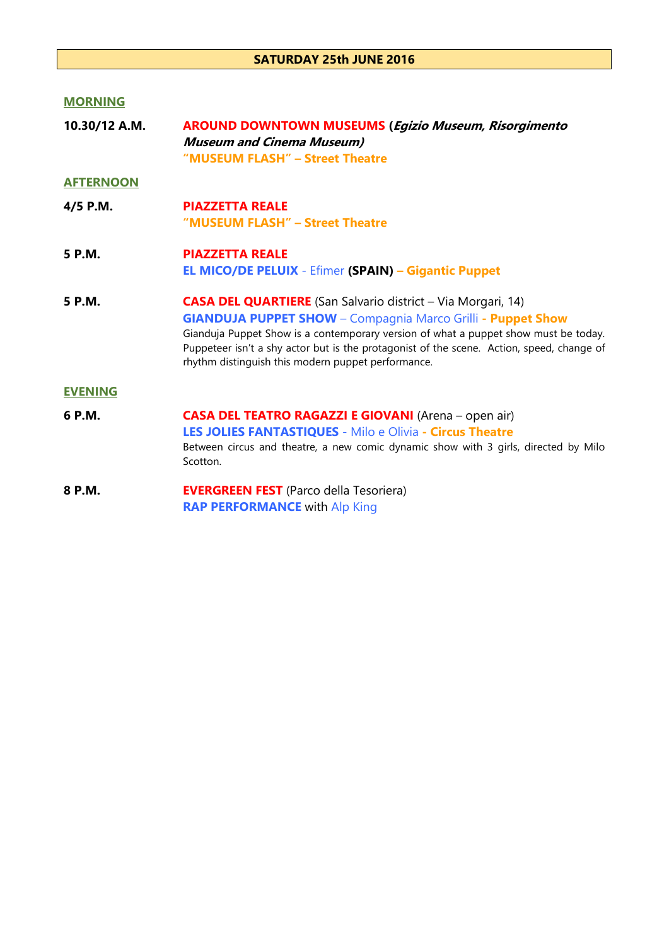## SATURDAY 25th JUNE 2016

## **MORNING**

| 10.30/12 A.M.    | <b>AROUND DOWNTOWN MUSEUMS (Egizio Museum, Risorgimento</b><br><b>Museum and Cinema Museum)</b><br>"MUSEUM FLASH" - Street Theatre                                                                                                                                                                                                                                                  |
|------------------|-------------------------------------------------------------------------------------------------------------------------------------------------------------------------------------------------------------------------------------------------------------------------------------------------------------------------------------------------------------------------------------|
| <b>AFTERNOON</b> |                                                                                                                                                                                                                                                                                                                                                                                     |
| 4/5 P.M.         | <b>PIAZZETTA REALE</b><br>"MUSEUM FLASH" - Street Theatre                                                                                                                                                                                                                                                                                                                           |
| 5 P.M.           | <b>PIAZZETTA REALE</b><br><b>EL MICO/DE PELUIX - Efimer (SPAIN) – Gigantic Puppet</b>                                                                                                                                                                                                                                                                                               |
| 5 P.M.           | <b>CASA DEL QUARTIERE</b> (San Salvario district - Via Morgari, 14)<br><b>GIANDUJA PUPPET SHOW</b> - Compagnia Marco Grilli - Puppet Show<br>Gianduja Puppet Show is a contemporary version of what a puppet show must be today.<br>Puppeteer isn't a shy actor but is the protagonist of the scene. Action, speed, change of<br>rhythm distinguish this modern puppet performance. |
| <b>EVENING</b>   |                                                                                                                                                                                                                                                                                                                                                                                     |
| 6 P.M.           | <b>CASA DEL TEATRO RAGAZZI E GIOVANI</b> (Arena - open air)<br><b>LES JOLIES FANTASTIQUES - Milo e Olivia - Circus Theatre</b><br>Between circus and theatre, a new comic dynamic show with 3 girls, directed by Milo<br>Scotton.                                                                                                                                                   |
| 8 P.M.           | <b>EVERGREEN FEST</b> (Parco della Tesoriera)<br><b>RAP PERFORMANCE with Alp King</b>                                                                                                                                                                                                                                                                                               |